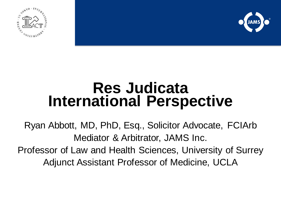



# **Res Judicata International Perspective**

Ryan Abbott, MD, PhD, Esq., Solicitor Advocate, FCIArb Mediator & Arbitrator, JAMS Inc. Professor of Law and Health Sciences, University of Surrey Adjunct Assistant Professor of Medicine, UCLA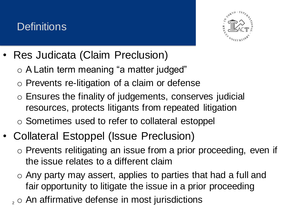### **Definitions**



- Res Judicata (Claim Preclusion)
	- o A Latin term meaning "a matter judged"
	- o Prevents re-litigation of a claim or defense
	- o Ensures the finality of judgements, conserves judicial resources, protects litigants from repeated litigation
	- o Sometimes used to refer to collateral estoppel
- Collateral Estoppel (Issue Preclusion)
	- o Prevents relitigating an issue from a prior proceeding, even if the issue relates to a different claim
	- o Any party may assert, applies to parties that had a full and fair opportunity to litigate the issue in a prior proceeding
	- $2, \circ$  An affirmative defense in most jurisdictions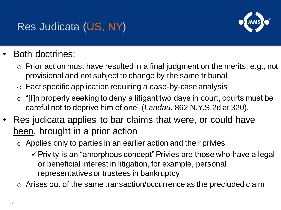### Res Judicata (US, NY)



### Both doctrines:

- $\circ$  Prior action must have resulted in a final judgment on the merits, e.g., not provisional and not subject to change by the same tribunal
- o Fact specific application requiring a case-by-case analysis
- $\circ$  "[I]n properly seeking to deny a litigant two days in court, courts must be careful not to deprive him of one" (*Landau*, 862 N.Y.S.2d at 320).
- Res judicata applies to bar claims that were, or could have been, brought in a prior action
	- $\circ$  Applies only to parties in an earlier action and their privies
		- ✓Privity is an "amorphous concept" Privies are those who have a legal or beneficial interest in litigation, for example, personal representatives or trustees in bankruptcy.
	- o Arises out of the same transaction/occurrence as the precluded claim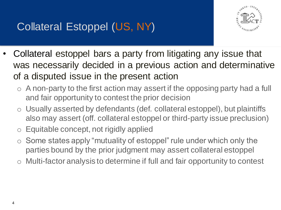

- Collateral estoppel bars a party from litigating any issue that was necessarily decided in a previous action and determinative of a disputed issue in the present action
	- $\circ$  A non-party to the first action may assert if the opposing party had a full and fair opportunity to contest the prior decision
	- o Usually asserted by defendants (def. collateral estoppel), but plaintiffs also may assert (off. collateral estoppel or third-party issue preclusion)
	- o Equitable concept, not rigidly applied
	- Some states apply "mutuality of estoppel" rule under which only the parties bound by the prior judgment may assert collateral estoppel
	- Multi-factor analysis to determine if full and fair opportunity to contest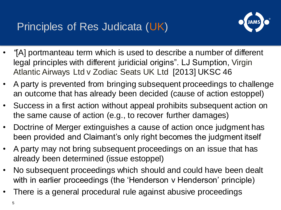

- *"*[A] portmanteau term which is used to describe a number of different legal principles with different juridicial origins". LJ Sumption, Virgin Atlantic Airways Ltd v Zodiac Seats UK Ltd [2013] UKSC 46
- A party is prevented from bringing subsequent proceedings to challenge an outcome that has already been decided (cause of action estoppel)
- Success in a first action without appeal prohibits subsequent action on the same cause of action (e.g., to recover further damages)
- Doctrine of Merger extinguishes a cause of action once judgment has been provided and Claimant's only right becomes the judgment itself
- A party may not bring subsequent proceedings on an issue that has already been determined (issue estoppel)
- No subsequent proceedings which should and could have been dealt with in earlier proceedings (the 'Henderson v Henderson' principle)
- There is a general procedural rule against abusive proceedings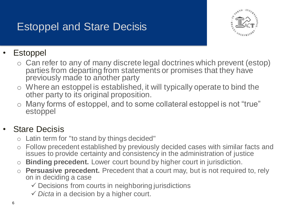### Estoppel and Stare Decisis



#### **Estoppel**

- o Can refer to any of many discrete legal doctrines which prevent (estop) parties from departing from statements or promises that they have previously made to another party
- o Where an estoppel is established, it will typically operate to bind the other party to its original proposition.
- o Many forms of estoppel, and to some collateral estoppel is not "true" estoppel

#### **Stare Decisis**

- o Latin term for "to stand by things decided"
- Follow precedent established by previously decided cases with similar facts and issues to provide certainty and consistency in the administration of justice
- o **Binding precedent.** Lower court bound by higher court in jurisdiction.
- o **Persuasive precedent.** Precedent that a court may, but is not required to, rely on in deciding a case
	- $\checkmark$  Decisions from courts in neighboring jurisdictions
	- ✓ *Dicta* in a decision by a higher court.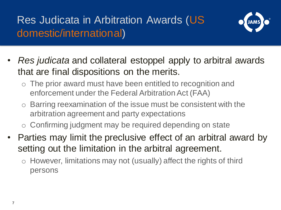### Res Judicata in Arbitration Awards (US domestic/international)



- *Res judicata* and collateral estoppel apply to arbitral awards that are final dispositions on the merits.
	- $\circ$  The prior award must have been entitled to recognition and enforcement under the Federal Arbitration Act (FAA)
	- $\circ$  Barring reexamination of the issue must be consistent with the arbitration agreement and party expectations
	- o Confirming judgment may be required depending on state
- Parties may limit the preclusive effect of an arbitral award by setting out the limitation in the arbitral agreement.
	- $\circ$  However, limitations may not (usually) affect the rights of third persons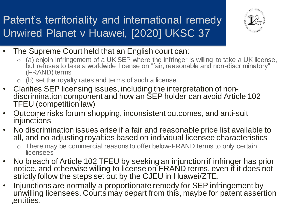## Patent's territoriality and international remedy Unwired Planet v Huawei, [2020] UKSC 37



- The Supreme Court held that an English court can:
	- $\circ$  (a) enjoin infringement of a UK SEP where the infringer is willing to take a UK license, but refuses to take a worldwide license on "fair, reasonable and non-discriminatory" (FRAND) terms
	- $\circ$  (b) set the royalty rates and terms of such a license
- Clarifies SEP licensing issues, including the interpretation of nondiscrimination component and how an SEP holder can avoid Article 102 TFEU (competition law)
- Outcome risks forum shopping, inconsistent outcomes, and anti-suit injunctions
- No discrimination issues arise if a fair and reasonable price list available to all, and no adjusting royalties based on individual licensee characteristics
	- o There may be commercial reasons to offer below-FRAND terms to only certain licensees
- No breach of Article 102 TFEU by seeking an injunction if infringer has prior notice, and otherwise willing to license on FRAND terms, even if it does not strictly follow the steps set out by the CJEU in Huawei/ZTE.
- Injunctions are normally a proportionate remedy for SEP infringement by unwilling licensees. Courts may depart from this, maybe for patent assertion entities.